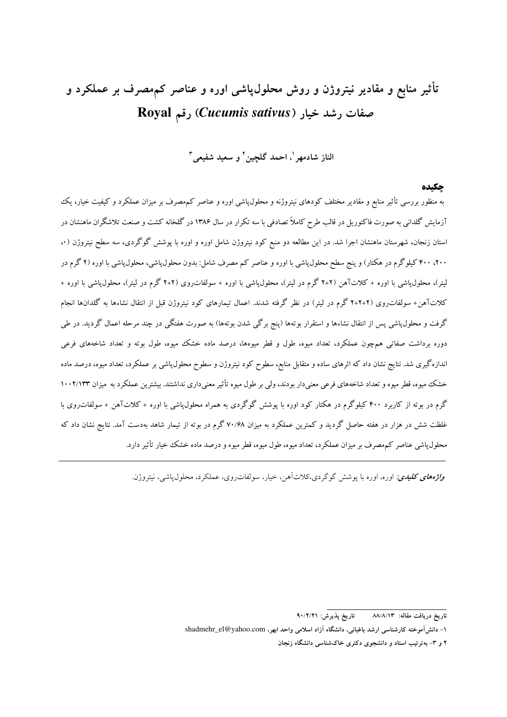# تأثیر منابع و مقادیر نیتروژن و روش محلول،یاشی اوره و عناصر کمهصرف بر عملکرد و Royal رقم Cucumis sativus) رقم

الناز شادمهر '، احمد گلچین' و سعید شفیعی "

#### حكىدە

به منظور بررسی تأثیر منابع و مقادیر مختلف کودهای نیتروژنه و محلول،پاشی اوره و عناصر کم مصرف بر میزان عملکرد و کیفیت خیار، یک آزمایش گلدانی به صورت فاکتوریل در قالب طرح کاملاً تصادفی با سه تکرار در سال ۱۳۸۶ در گلخانه کشت و صنعت تلاشگران ماهنشان در استان زنجان، شهرستان ماهنشان اجرا شد. در این مطالعه دو منبع کود نیتروژن شامل اوره و اوره با پوشش گوگردی، سه سطح نیتروژن (۰۰ ۲۰۰، ۴۰۰ کیلوگرم در هکتار) و پنج سطح محلول،پاشی با اوره و عناصر کم مصرف شامل: بدون محلول،پاشی، محلول،پاشی با اوره (۲ گرم در لیتر)، محلول،پاشی با اوره + کلاتآهن (۲+۲ گرم در لیتر)، محلول،پاشی با اوره + سولفات(وی (۲+۲ گرم در لیتر)، محلول،پاشی با اوره + کلاتآهن+ سولفات٫وی (۲+۲+۲ گرم در لیتر) در نظر گرفته شدند. اعمال تیمارهای کود نیتروژن قبل از انتقال نشاءها به گلدانها انجام گرفت و محلول،پاشی پس از انتقال نشاءها و استقرار بوتهها (پنج برگی شدن بوتهها) به صورت هفتگی در چند مرحله اعمال گردید. در طی دوره برداشت صفاتی همچون عملکرد، تعداد میوه، طول و قطر میوهها، درصد ماده خشک میوه، طول بوته و تعداد شاخههای فرعی اندازهگیری شد. نتایج نشان داد که اثرهای ساده و متقابل منابع، سطوح کود نیتروژن و سطوح محلول،پاشی بر عملکرد، تعداد میوه، درصد ماده خشک میوه، قطر میوه و تعداد شاخههای فرعی معنیدار بودند، ولی بر طول میوه تأثیر معنیداری نداشتند. بیشترین عملکرد به میزان ۱۰۰۲/۱۳۳ گرم در بوته از کاربرد ۴۰۰ کیلوگرم در هکتار کود اوره با پوشش گوگردی به همراه محلول،پاشی با اوره + کلاتآهن + سولفات روی با غلظت شش در هزار در هفته حاصل گردید و کمترین عملکرد به میزان ۷۰/۶۸ گرم در بوته از تیمار شاهد بهدست آمد. نتایج نشان داد که محلول،پاشی عناصر کم مصرف بر میزان عملکرد، تعداد میوه، طول میوه، قطر میوه و درصد ماده خشک خیار تأثیر دارد.

و*اژههای کلیدی:* اوره، اوره با یوشش گوگردی،کلاتآهن، خیار، سولفاتروی، عملکرد، محلول یاشی، نیتروژن.

تاريخ يذيرش: ٩٠/٢/٢١ تاريخ دريافت مقاله: ٨٨/٨/١٣

۱- دانش آموخته کارشناسی ارشد باغبانی، دانشگاه آزاد اسلامی واحد ابھر، shadmehr\_el@yahoo.com

۲ و ۳- به ترتیب استاد و دانشجوی دکتری خاکشناسی دانشگاه زنجان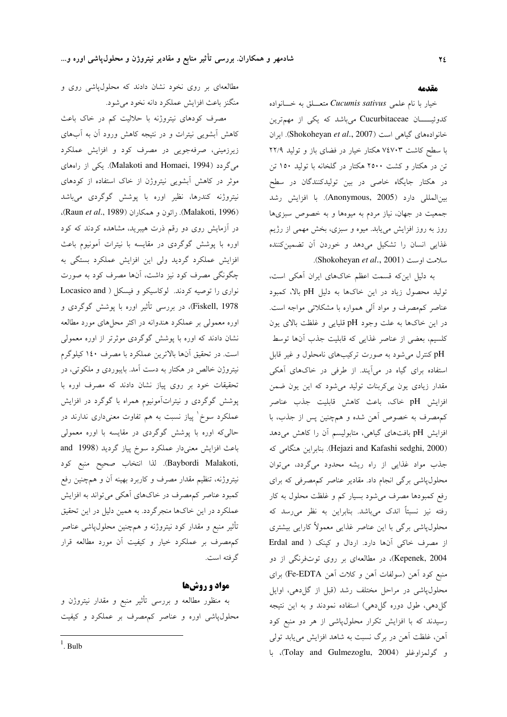#### مقدمه

خیار با نام علمی Cucumis sativus متعــلق به خــانواده کدوئیـــان Cucurbitaceae میباشد که یکی از مهمترین خانوادههای گیاهی است (Shokoheyan et al., 2007). ایران با سطح کاشت ۷٤۷۰۳ هکتار خیار در فضای باز و تولید ۲۲/۹ تن در هکتار و کشت ۲۵۰۰ هکتار در گلخانه با تولید ۱۵۰ تن در هکتار جایگاه خاصی در بین تولیدکنندگان در سطح بين المللي دارد (Anonymous, 2005). با افزايش رشد جمعیت در جهان، نیاز مردم به میوهها و به خصوص سبزیها روز به روز افزایش می،یابد. میوه و سبزی، بخش مهمی از رژیم غذایی انسان را تشکیل می دهد و خوردن آن تضمین کننده سلامت اوست (Shokoheyan et al., 2001).

به دلیل این که قسمت اعظم خاکهای ایران آهکی است، تولید محصول زیاد در این خاکها به دلیل pH بالا، کمبود عناصر کم مصرف و مواد آلمی همواره با مشکلاتی مواجه است. در این خاکها به علت وجود pH قلیایی و غلظت بالای یون كلسيم، بعضي از عناصر غذايي كه قابليت جذب آنها توسط pH کنترل می شود به صورت ترکیبهای نامحلول و غیر قابل استفاده برای گیاه در می آیند. از طرفی در خاکهای آهکی مقدار زیادی یون بی کربنات تولید می شود که این یون ضمن افزايش pH خاك، باعث كاهش قابليت جذب عناصر كمهصرف به خصوص أهن شده و همچنين پس از جذب، با افزایش pH بافتهای گیاهی، متابولیسم آن را کاهش میدهد (Hejazi and Kafashi sedghi, 2000). بنابراين هنگامى كه جذب مواد غذایی از راه ریشه محدود میگردد، میتوان محلول،پاشی برگی انجام داد. مقادیر عناصر کم مصرفی که برای رفع کمبودها مصرف میشود بسیار کم و غلظت محلول به کار رفته نيز نسبتاً اندك مى باشد. بنابراين به نظر مى رسد كه محلول،پاشی برگی با این عناصر غذایی معمولاً کارایی بیشتری از مصرف خاکی آنها دارد. اردال و کپنک ( Erdal and Kepenek, 2004)، در مطالعهای بر روی توتفرنگی از دو منبع كود آهن (سولفات آهن و كلات آهن Fe-EDTA) براي محلول،پاشی در مراحل مختلف رشد (قبل از گل(دهی، اوایل گل دهی، طول دوره گل دهی) استفاده نمودند و به این نتیجه رسیدند که با افزایش تکرار محلولپاشی از هر دو منبع کود آهن، غلظت آهن در برگ نسبت به شاهد افزایش می یابد تولی و گولمزاوغلو (Tolay and Gulmezoglu, 2004)، با

مطالعهای بر روی نخود نشان دادند که محلولپاشی روی و منگنز باعث افزایش عملکرد دانه نخود میشود.

مصرف کودهای نیتروژنه با حلالیت کم در خاک باعث کاهش ابشویی نیترات و در نتیجه کاهش ورود آن به آبهای زیرزمینی، صرفهجویی در مصرف کود و افزایش عملکرد میگردد (Malakoti and Homaei, 1994). یکی از رامهای موثر در کاهش آبشویی نیتروژن از خاک استفاده از کودهای نیتروژنه کندرها، نظیر اوره با پوشش گوگردی میباشد (Malakoti, 1996). رائون و همكاران (Raun et al., 1989). در آزمایش روی دو رقم ذرت هیبرید، مشاهده کردند که کود اوره با پوشش گوگردی در مقایسه با نیترات آمونیوم باعث افزایش عملکرد گردید ولی این افزایش عملکرد بستگی به چگونگی مصرف کود نیز داشت، آنها مصرف کود به صورت نواری را توصیه کردند. لوکاسیکو و فیسکل ( Locasico and Fiskell, 1978)، در بررسی تأثیر اوره با پوشش گوگردی و اوره معمولی بر عملکرد هندوانه در اکثر محلهای مورد مطالعه نشان دادند که اوره با پوشش گوگردی موثرتر از اوره معمولی است. در تحقیق آنها بالاترین عملکرد با مصرف ۱٤٠ کیلوگرم نيتروژن خالص در هکتار به دست آمد. بايبوردي و ملکوتي، در تحقیقات خود بر روی پیاز نشان دادند که مصرف اوره با پوشش گوگردی و نیتراتآمونیوم همراه با گوگرد در افزایش عملکرد سوخ` پیاز نسبت به هم تفاوت معنیداری ندارند در حالی که اوره با پوشش گوگردی در مقایسه با اوره معمولی باعث افزایش معنی دار عملکرد سوخ پیاز گردید (1998 and ,Baybordi Malakoti). لذا انتخاب صحيح منبع كود نيتروژنه، تنظيم مقدار مصرف و كاربرد بهينه آن و همچنين رفع کمبود عناصر کمهصرف در خاکهای آهکی میتواند به افزایش عملکرد در این خاکها منجرگردد. به همین دلیل در این تحقیق تأثير منبع و مقدار كود نيتروژنه و همچنين محلولپاشي عناصر كمهصرف بر عملكرد خيار و كيفيت أن مورد مطالعه قرار گرفته است.

## مواد و روشها

به منظور مطالعه و بررسی تأثیر منبع و مقدار نیتروژن و محلولپاشی اوره و عناصر کمهصرف بر عملکرد و کیفیت

 $\frac{1}{2}$ . Bulb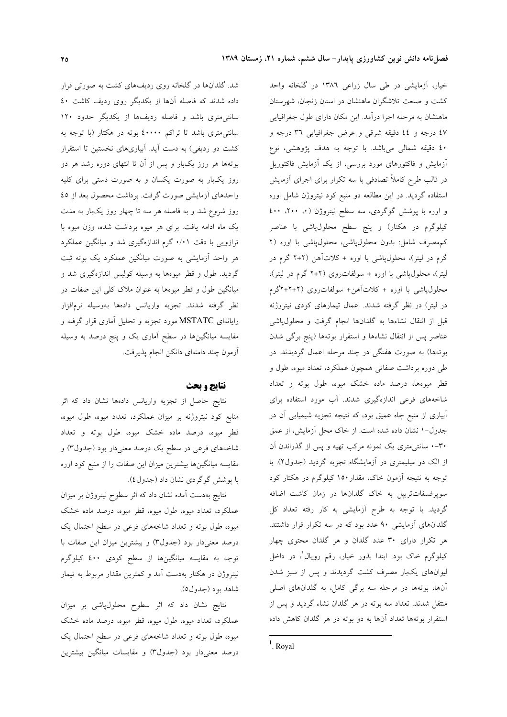خیار، آزمایشی در طی سال زراعی ۱۳۸٦ در گلخانه واحد کشت و صنعت تلاشگران ماهنشان در استان زنجان، شهرستان ماهنشان به مرحله اجرا درآمد. این مکان دارای طول جغرافیایی ٤٧ درجه و ٤٤ دقيقه شرقى و عرض جغرافيايى ٣٦ درجه و ٤٠ دقيقه شمالي مي باشد. با توجه به هدف پژوهشي، نوع آزمایش و فاکتورهای مورد بررسی، از یک آزمایش فاکتوریل در قالب طرح کاملاً تصادفی با سه تکرار برای اجرای آزمایش استفاده گردید. در این مطالعه دو منبع کود نیتروژن شامل اوره و اوره با پوشش گوگردی، سه سطح نیتروژن (۰، ۲۰۰، ٤٠٠ کیلوگرم در هکتار) و پنج سطح محلول،پاشی با عناصر كم مصرف شامل: بدون محلول پاشي، محلول پاشي با اوره (٢ گرم در لیتر)، محلول،پاشی با اوره + کلاتآهن (۲+۲ گرم در لیتر)، محلولپاشی با اوره + سولفات روی (۲+۲ گرم در لیتر)، محلول،پاشی با اوره + کلات آهن+ سولفات روی (۲+۲+۲گرم در لیتر) در نظر گرفته شدند. اعمال تیمارهای کودی نیتروژنه قبل از انتقال نشاءها به گلدانها انجام گرفت و محلول،پاشی عناصر پس از انتقال نشاءها و استقرار بوتهها (پنج برگی شدن بوتهها) به صورت هفتگی در چند مرحله اعمال گردیدند. در طی دوره برداشت صفاتی همچون عملکرد، تعداد میوه، طول و قطر میوهها، درصد ماده خشک میوه، طول بوته و تعداد شاخههای فرعی اندازهگیری شدند. آب مورد استفاده برای آبیاری از منبع چاه عمیق بود، که نتیجه تجزیه شیمیایی آن در جدول-۱ نشان داده شده است. از خاک محل آزمایش، از عمق ۳۰-۰ سانتی متری یک نمونه مرکب تهیه و پس از گذراندن آن از الک دو میلیمتری در آزمایشگاه تجزیه گردید (جدول۲). با توجه به نتیجه اَزمون خاک، مقدار ۱۵۰ کیلوگرم در هکتار کود سوپرفسفاتتریپل به خاک گلدانها در زمان کاشت اضافه گردید. با توجه به طرح آزمایشی به کار رفته تعداد کل گلدانهای آزمایشی ۹۰ عدد بود که در سه تکرار قرار داشتند. هر تکرار دارای ۳۰ عدد گلدان و هر گلدان محتوی چهار کیلوگرم خاک بود. ابتدا بذور خیار، رقم رویال'، در داخل لیوانهای یکبار مصرف کشت گردیدند و پس از سبز شدن آنها، بوتهها در مرحله سه برگی کامل، به گلدانهای اصلی منتقل شدند. تعداد سه بوته در هر گلدان نشاء گردید و پس از استقرار بوتهها تعداد آنها به دو بوته در هر گلدان کاهش داده

شد. گلدانها در گلخانه روی ردیفهای کشت به صورتی قرار داده شدند که فاصله آنها از یکدیگر روی ردیف کاشت ٤٠ سانتی متری باشد و فاصله ردیفها از یکدیگر حدود ۱۲۰ سانتی متری باشد تا تراکم ٤٠٠٠٠ بوته در هکتار (با توجه به کشت دو ردیفی) به دست آید. آبیاریهای نخستین تا استقرار بوتهها هر روز یکبار و پس از آن تا انتهای دوره رشد هر دو روز یکبار به صورت یکسان و به صورت دستی برای کلیه واحدهای آزمایشی صورت گرفت. برداشت محصول بعد از ٤٥ روز شروع شد و به فاصله هر سه تا چهار روز یکبار به مدت یک ماه ادامه یافت. برای هر میوه برداشت شده، وزن میوه با ترازویی با دقت ۰/۰۱ گرم اندازهگیری شد و میانگین عملکرد هر واحد أزمایشی به صورت میانگین عملکرد یک بوته ثبت گردید. طول و قطر میوهها به وسیله کولیس اندازهگیری شد و میانگین طول و قطر میوهها به عنوان ملاک کلی این صفات در نظر گرفته شدند. تجزیه واریانس دادهها بهوسیله نرمافزار رایانهای MSTATC مورد تجزیه و تحلیل آماری قرار گرفته و مقایسه میانگینها در سطح آماری یک و پنج درصد به وسیله آزمون چند دامنهای دانکن انجام پذیرفت.

#### نتايج و بحث

نتايج حاصل از تجزيه واريانس دادهها نشان داد كه اثر منابع کود نیتروژنه بر میزان عملکرد، تعداد میوه، طول میوه، قطر میوه، درصد ماده خشک میوه، طول بوته و تعداد شاخههای فرعی در سطح یک درصد معنی<mark>دار بود (جدول۳) و</mark> مقایسه میانگینها بیشترین میزان این صفات را از منبع کود اوره با يوشش گوگردي نشان داد (جدول ٤).

نتایج بهدست آمده نشان داد که اثر سطوح نیتروژن بر میزان عملکرد، تعداد میوه، طول میوه، قطر میوه، درصد ماده خشک میوه، طول بوته و تعداد شاخههای فرعی در سطح احتمال یک درصد معنیدار بود (جدول۳) و بیشترین میزان این صفات با توجه به مقایسه میانگینها از سطح کودی ٤٠٠ کیلوگرم نیتروژن در هکتار بهدست آمد و کمترین مقدار مربوط به تیمار شاهد بود (جدول٥).

نتایج نشان داد که اثر سطوح محلولپاشی بر میزان عملکرد، تعداد میوه، طول میوه، قطر میوه، درصد ماده خشک میوه، طول بوته و تعداد شاخههای فرعی در سطح احتمال یک درصد معنیدار بود (جدول۳) و مقایسات میانگین بیشترین

 $<sup>1</sup>$ . Royal</sup>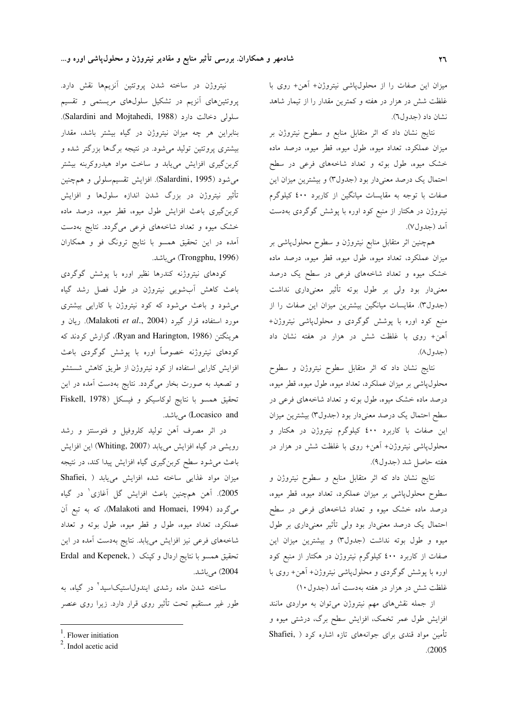میزان این صفات را از محلولپاشی نیتروژن+ آهن+ روی با غلظت شش در هزار در هفته و کمترین مقدار را از تیمار شاهد نشان داد (جدول٦).

نتايج نشان داد كه اثر متقابل منابع و سطوح نيتروژن بر میزان عملکرد، تعداد میوه، طول میوه، قطر میوه، درصد ماده خشک میوه، طول بوته و تعداد شاخههای فرعی در سطح احتمال یک درصد معنیدار بود (جدول۳) و بیشترین میزان این صفات با توجه به مقایسات میانگین از کاربرد ٤٠٠ کیلوگرم نیتروژن در هکتار از منبع کود اوره با پوشش گوگردی بهدست أمد (جدول۷).

همچنین اثر متقابل منابع نیتروژن و سطوح محلول پاشی بر میزان عملکرد، تعداد میوه، طول میوه، قطر میوه، درصد ماده خشک میوه و تعداد شاخههای فرعی در سطح یک درصد معنیدار بود ولی بر طول بوته تأثیر معنیداری نداشت (جدول۳). مقایسات میانگین بیشترین میزان این صفات را از منبع کود اوره با پوشش گوگردی و محلول،پاشی نیتروژن+ آهن+ روى با غلظت شش در هزار در هفته نشان داد (جدول٨).

نتايج نشان داد كه اثر متقابل سطوح نيتروژن و سطوح محلولپاشی بر میزان عملکرد، تعداد میوه، طول میوه، قطر میوه، درصد ماده خشک میوه، طول بوته و تعداد شاخههای فرعی در سطح احتمال یک درصد معنیدار بود (جدول۳) بیشترین میزان این صفات با کاربرد ٤٠٠ کیلوگرم نیتروژن در هکتار و محلولپاشی نیتروژن+ آهن+ روی با غلظت شش در هزار در هفته حاصل شد (جدول۹).

نتايج نشان داد كه اثر متقابل منابع و سطوح نيتروژن و سطوح محلولپاشی بر میزان عملکرد، تعداد میوه، قطر میوه، درصد ماده خشک میوه و تعداد شاخههای فرعی در سطح احتمال یک درصد معنیدار بود ولی تأثیر معنیداری بر طول میوه و طول بوته نداشت (جدول۳) و بیشترین میزان این صفات از کاربرد ٤٠٠ کیلوگرم نیتروژن در هکتار از منبع کود اوره با پوشش گوگردی و محلول پاشی نیتروژن+ آهن+ روی با غلظت شش در هزار در هفته بهدست آمد (جدول ۱۰)

از جمله نقشهای مهم نیتروژن می توان به مواردی مانند افزایش طول عمر تخمک، افزایش سطح برگ، درشتی میوه و تأمین مواد قندی برای جوانههای تازه اشاره کرد ( ,Shafiei  $. (2005)$ 

نیتروژن در ساخته شدن پروتئین آنزیمها نقش دارد. پروتئینهای آنزیم در تشکیل سلولهای مریستمی و تقسیم سلولی دخالت دارد (Salardini and Mojtahedi, 1988). بنابراین هر چه میزان نیتروژن در گیاه بیشتر باشد، مقدار بیشتری پروتئین تولید میشود. در نتیجه برگها بزرگتر شده و کربنگیری افزایش می،یابد و ساخت مواد هیدروکربنه بیشتر می شود (Salardini, 1995). افزایش تقسیم سلولی و همچنین تأثیر نیتروژن در بزرگ شدن اندازه سلولها و افزایش کربن گیری باعث افزایش طول میوه، قطر میوه، درصد ماده خشک میوه و تعداد شاخههای فرعی میگردد. نتایج بهدست آمده در این تحقیق همسو با نتایج ترونگ فو و همکاران (Trongphu, 1996) می باشد.

کودهای نیتروژنه کندرها نظیر اوره با پوشش گوگردی باعث کاهش آبشویی نیتروژن در طول فصل رشد گیاه می شود و باعث می شود که کود نیتروژن با کارایی بیشتری مورد استفاده قرار گیرد (Malakoti *et al.*, 2004). ریان و هرينگتن (Ryan and Harington, 1986)، گزارش كردند كه کودهای نیتروژنه خصوصاً اوره با یوشش گوگردی باعث افزایش کارایی استفاده از کود نیتروژن از طریق کاهش شستشو و تصعید به صورت بخار میگردد. نتایج بهدست آمده در این تحقيق همسو با نتايج لوكاسيكو و فيسكل (Fiskell, 1978 Locasico and) می باشد.

در اثر مصرف آهن توليد كلروفيل و فتوسنتز و رشد رویشی در گیاه افزایش می یابد (Whiting, 2007) این افزایش باعث می شود سطح کربن گیری گیاه افزایش پیدا کند، در نتیجه ميزان مواد غذايي ساخته شده افزايش مي يابد ( Shafiei, 2005). آهن همچنین باعث افزایش گل آغازی در گیاه می گردد (Malakoti and Homaei, 1994)، که به تبع آن عملکرد، تعداد میوه، طول و قطر میوه، طول بوته و تعداد شاخههای فرعی نیز افزایش مییابد. نتایج بهدست آمده در این تحقیق همسو با نتایج اردال و کپنک ( Erdal and Kepenek, 2004) می باشد.

ساخته شدن ماده رشدی ایندول|ستیک|سید<sup>۲</sup> در گیاه، به طور غیر مستقیم تحت تأثیر روی قرار دارد. زیرا روی عنصر

 $<sup>1</sup>$ . Flower initiation</sup>

 $2$ . Indol acetic acid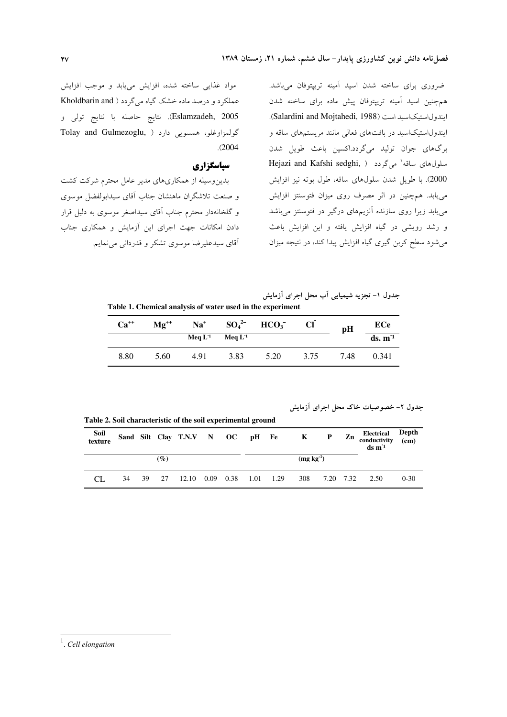ضروری برای ساخته شدن اسید آمینه تریپتوفان میباشد. همچنین اسید آمینه تریپتوفان پیش ماده برای ساخته شدن ايندول استيك اسيد است (Salardini and Mojtahedi, 1988). ایندولاستیکاسید در بافتهای فعالی مانند مریستمهای ساقه و برگهای جوان تولید میگردد.اکسین باعث طویل شدن  $\text{Hejazi}$  and Kafshi sedghi,  $\lambda$  اسلول های ساقه  $\lambda$ ردد 2000). با طویل شدن سلولهای ساقه، طول بوته نیز افزایش می یابد. هم چنین در اثر مصرف روی میزان فتوسنتز افزایش می یابد زیرا روی سازنده آنزیمهای درگیر در فتوسنتز میباشد و رشد رویشی در گیاه افزایش یافته و این افزایش باعث میشود سطح کربن گیری گیاه افزایش پیدا کند، در نتیجه میزان

مواد غذایی ساخته شده، افزایش مییابد و موجب افزایش عملکرد و درصد ماده خشک گیاه میگردد ( Kholdbarin and Eslamzadeh, 2005). نتايج حاصله با نتايج تولى و گولمزاوغلو، همسویی دارد ( ,Tolay and Gulmezoglu  $. (2004)$ 

### سیاسگزاری

بدین وسیله از همکاریهای مدیر عامل محترم شرکت کشت و صنعت تلاشگران ماهنشان جناب آقای سیدابولفضل موسوی و گلخانهدار محترم جناب آقای سیداصغر موسوی به دلیل قرار دادن امکانات جهت اجرای این آزمایش و همکاری جناب آقای سیدعلیرضا موسوی تشکر و قدردانی می نمایم.

جدول ۱- تجزیه شیمیایی اب محل اجرای ازمایش

Table 1. Chemical analysis of water used in the experiment

| $Ca^{++}$ | $Mg^{++}$ | $Na+$     | $SO_4^{2-}$ | HCO <sub>3</sub> |      | pH   | ECe                |
|-----------|-----------|-----------|-------------|------------------|------|------|--------------------|
|           |           | Meq $L^1$ | Meq $L^1$   |                  |      |      | ds. m <sup>1</sup> |
| 8.80      | 5.60      | 4.91      | 3.83        | 5.20             | 3.75 | 7.48 | 0.341              |

جدول ۲- خصوصیات خاک محل اجرای ازمایش

Table 2. Soil characteristic of the soil experimental ground

| Soil<br>texture |    |    |                                |                           |  |  |                | Sand Silt Clay T.N.V N OC pH Fe K P Zn |  | Electrical Depth<br>conductivity (cm)<br>$ds \, m^2$ |          |
|-----------------|----|----|--------------------------------|---------------------------|--|--|----------------|----------------------------------------|--|------------------------------------------------------|----------|
|                 |    |    | $\left( \frac{\%}{\%} \right)$ |                           |  |  | $(mg kg^{-1})$ |                                        |  |                                                      |          |
|                 | 34 | 39 | 27                             | 12.10 0.09 0.38 1.01 1.29 |  |  | 308            |                                        |  | 7.20 7.32 2.50                                       | $0 - 30$ |

 $<sup>1</sup>$ . Cell elongation</sup>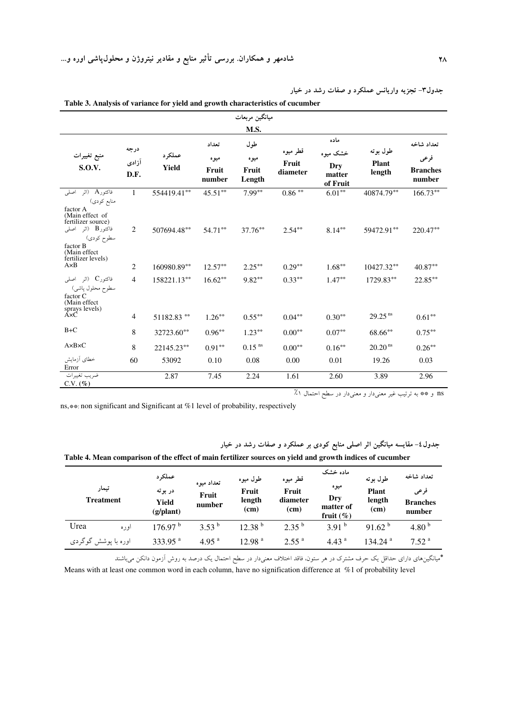|                                                                                                   |                       |                 |                                  | ميانگين مربعات                 |                               |                                               |                                    |                                                 |
|---------------------------------------------------------------------------------------------------|-----------------------|-----------------|----------------------------------|--------------------------------|-------------------------------|-----------------------------------------------|------------------------------------|-------------------------------------------------|
|                                                                                                   |                       |                 |                                  | M.S.                           |                               |                                               |                                    |                                                 |
| منبع تغييرات<br><b>S.O.V.</b>                                                                     | درجه<br>آزادی<br>D.F. | عملكرد<br>Yield | تعداد<br>ميوه<br>Fruit<br>number | طول<br>ميوه<br>Fruit<br>Length | قطر میوه<br>Fruit<br>diameter | ماده<br>خشک میوه<br>Dry<br>matter<br>of Fruit | طول بوته<br><b>Plant</b><br>length | تعداد شاخه<br>فرعى<br><b>Branches</b><br>number |
| فاكتورA (اثر<br>اصلى<br>منابع کودی)<br>factor A<br>(Main effect of<br>fertilizer source)          | 1                     | 554419.41**     | $45.51***$                       | $7.99***$                      | $0.86$ $^{\ast\ast}$          | $6.01***$                                     | 40874.79**                         | $166.73**$                                      |
| فاكتور $\, {\bf B} \,$ (اثر اصلبی<br>سطوح کودي)<br>factor B<br>(Main effect<br>fertilizer levels) | 2                     | 507694.48**     | $54.71***$                       | $37.76**$                      | $2.54***$                     | $8.14***$                                     | 59472.91**                         | 220.47**                                        |
| $A \times B$                                                                                      | 2                     | 160980.89**     | $12.57**$                        | $2.25***$                      | $0.29***$                     | $1.68***$                                     | $10427.32***$                      | $40.87***$                                      |
| فاكتورC (اثر اصلى<br>سطوح محلول پاشی)<br>factor C<br>(Main effect)<br>sprays levels)<br>A×C       | $\overline{4}$        | 158221.13**     | $16.62**$                        | $9.82***$                      | $0.33***$                     | $1.47**$                                      | 1729.83**                          | $22.85***$                                      |
|                                                                                                   | 4                     | 51182.83 **     | $1.26***$                        | $0.55***$                      | $0.04***$                     | $0.30**$                                      | $29.25$ <sup>ns</sup>              | $0.61**$                                        |
| $B+C$                                                                                             | $\,8\,$               | 32723.60**      | $0.96**$                         | $1.23***$                      | $0.00**$                      | $0.07**$                                      | 68.66**                            | $0.75***$                                       |
| $A \times B \times C$                                                                             | 8                     | 22145.23**      | $0.91***$                        | $0.15$ <sup>ns</sup>           | $0.00^{\ast\ast}$             | $0.16**$                                      | 20.20 <sup>ns</sup>                | $0.26^{\ast\ast}$                               |
| خطاي أزمايش<br>Error                                                                              | 60                    | 53092           | 0.10                             | 0.08                           | 0.00                          | 0.01                                          | 19.26                              | 0.03                                            |
| ضريب تغييرات<br>C.V. (%)                                                                          |                       | 2.87            | 7.45                             | 2.24                           | 1.61                          | 2.60                                          | 3.89                               | 2.96                                            |

جدول۳– تجزیه واریانس عملکرد و صفات رشد در خیار Table 3. Analysis of variance for yield and growth characteristics of cucumber

ns و \*\* به ترتیب غیر معنیدار و معنیدار در سطح احتمال ۱٪

ns, $**$ : non significant and Significant at %1 level of probability, respectively

جدول٤- مقایسه میانگین اثر اصلی منابع کودی بر عملکرد و صفات رشد در خیار

| Table 4. Mean comparison of the effect of main fertilizer sources on yield and growth indices of cucumber |  |
|-----------------------------------------------------------------------------------------------------------|--|
|-----------------------------------------------------------------------------------------------------------|--|

| تيمار<br><b>Treatment</b> | عملکر د<br>در بوته<br>Yield<br>(g/plant) | تعداد ميوه<br>Fruit<br>number | طول ميوه<br>Fruit<br>length<br>(cm) | قطر میوه<br>Fruit<br>diameter<br>(cm) | ماده خشک<br>ميوه<br>Dry<br>matter of<br>fruit $(\% )$ | طول بو ته<br><b>Plant</b><br>length<br>(cm) | تعداد شاخه<br>فرعى<br><b>Branches</b><br>number |
|---------------------------|------------------------------------------|-------------------------------|-------------------------------------|---------------------------------------|-------------------------------------------------------|---------------------------------------------|-------------------------------------------------|
| Urea<br>اوره              | 176.97 <sup>b</sup>                      | $3.53^{b}$                    | 12.38 <sup>b</sup>                  | $2.35^{b}$                            | 3.91 <sup>b</sup>                                     | 91.62 <sup>b</sup>                          | 4.80 $^{\rm b}$                                 |
| اوره با پوشش گوگردی       | 333.95 $^{\rm a}$                        | 4.95 <sup>a</sup>             | 12.98 <sup>a</sup>                  | 2.55 <sup>a</sup>                     | 4.43 <sup>a</sup>                                     | 134.24 <sup>a</sup>                         | 7.52 <sup>a</sup>                               |

\*میانگینهای دارای حداقل یک حرف مشترک در هر ستون، فاقد اختلاف معنیدار در سطح احتمال یک درصد به روش آزمون دانکن میباشند

Means with at least one common word in each column, have no signification difference at %1 of probability level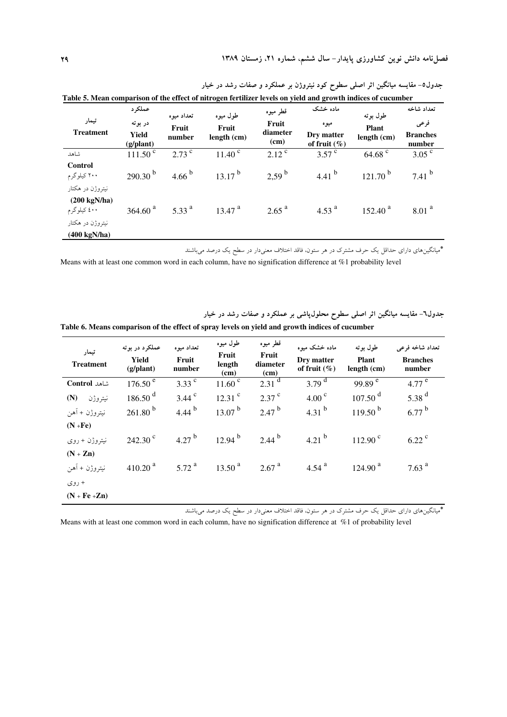| تيمار<br><b>Treatment</b>                                 | عملكرد<br>در بوته<br>Yield<br>(g/plant) | تعداد ميوه<br>Fruit<br>number | طول ميوه<br>Fruit<br>length (cm) | قطر ميوه<br>Fruit<br>diameter<br>(cm) | ماده خشک<br>میوه<br>Dry matter<br>of fruit $(\%)$ | طول بو ته<br><b>Plant</b><br>length (cm) | تعداد شاخه<br>فرعى<br><b>Branches</b><br>number |
|-----------------------------------------------------------|-----------------------------------------|-------------------------------|----------------------------------|---------------------------------------|---------------------------------------------------|------------------------------------------|-------------------------------------------------|
| شاهد                                                      | $111.50^{\circ}$                        | $2.73$ c                      | $11.40^{\circ}$                  | $2.12$ <sup>c</sup>                   | $3.57^{\circ}$                                    | $64.68$ <sup>c</sup>                     | 3.05 <sup>c</sup>                               |
| <b>Control</b><br>۲۰۰ کیلوگرم                             | $290.30^{b}$                            | 4.66 $^{\rm b}$               | $13.17^{b}$                      | $2.59^{b}$                            | 4.41 $^{b}$                                       | $121.70^{b}$                             | $7.41^{b}$                                      |
| نیتروژن در هکتار<br>$(200 \text{ kgN/ha})$<br>٤٠٠ كيلوگرم | 364.60 <sup>a</sup>                     | 5.33 $^{a}$                   | $13.47$ <sup>a</sup>             | $2.65$ <sup>a</sup>                   | 4.53 $^{a}$                                       | $152.40^{a}$                             | 8.01 <sup>a</sup>                               |
| نیتروژن در هکتار<br>$(400 \text{ kgN/ha})$                |                                         |                               |                                  |                                       |                                                   |                                          |                                                 |

جدول٥– مقایسه میانگین اثر اصلی سطوح کود نیتروژن بر عملکرد و صفات رشد در خیار

\*میانگینهای دارای حداقل یک حرف مشترک در هر ستون، فاقد اختلاف معنیدار در سطح یک درصد میباشند

Means with at least one common word in each column, have no signification difference at %1 probability level

جدول٦- مقایسه میانگین اثر اصلی سطوح محلول¢اشی بر عملکرد و صفات رشد در خیار

| Table 6. Means comparison of the effect of spray levels on yield and growth indices of cucumber |  |  |
|-------------------------------------------------------------------------------------------------|--|--|
|-------------------------------------------------------------------------------------------------|--|--|

| تيمار<br><b>Treatment</b> | عملکرد در بوته<br>Yield<br>(g/plant) | تعداد ميوه<br>Fruit<br>number | طول ميوه<br>Fruit<br>length<br>(cm) | قطر میوه<br>Fruit<br>diameter<br>(cm) | ماده خشک میوه<br>Dry matter<br>of fruit $(\%)$ | طول بو ته<br><b>Plant</b><br>length (cm) | تعداد شاخه فرعى<br><b>Branches</b><br>number |
|---------------------------|--------------------------------------|-------------------------------|-------------------------------------|---------------------------------------|------------------------------------------------|------------------------------------------|----------------------------------------------|
| شاهد Control              | 176.50 <sup>e</sup>                  | 3.33 $^{\circ}$               | $11.60^{\circ}$                     | $2.31$ <sup>d</sup>                   | 3.79 $^{\rm d}$                                | 99.89 $^{\circ}$                         | 4.77 $^{\circ}$                              |
| (N)<br>نيتروژن            | $186.50$ <sup>d</sup>                | $3.44$ <sup>c</sup>           | $12.31$ <sup>c</sup>                | $2.37$ $\degree$                      | 4.00 <sup>c</sup>                              | $107.50$ <sup>d</sup>                    | $5.38$ <sup>d</sup>                          |
| نيتروژن + آهن             | $261.80^{b}$                         | 4.44 $^{b}$                   | $13.07^{b}$                         | $2.47^{b}$                            | 4.31 $^{b}$                                    | $119.50^{b}$                             | $6.77^{b}$                                   |
| $(N + Fe)$                |                                      |                               |                                     |                                       |                                                |                                          |                                              |
| نيتروژن + روى             | $242.30$ <sup>c</sup>                | 4.27 $^{\rm b}$               | $12.94^{b}$                         | $2.44^{b}$                            | 4.21 $^{b}$                                    | $112.90^{\circ}$                         | $6.22$ <sup>c</sup>                          |
| $(N + Zn)$                |                                      |                               |                                     |                                       |                                                |                                          |                                              |
| نيتروژن + آهن             | $410.20$ <sup>a</sup>                | 5.72 $^{a}$                   | 13.50 <sup>a</sup>                  | 2.67 <sup>a</sup>                     | 4.54 $^{a}$                                    | 124.90 <sup>a</sup>                      | 7.63 $^{a}$                                  |
| + روی                     |                                      |                               |                                     |                                       |                                                |                                          |                                              |
| $(N + Fe + Zn)$           |                                      |                               |                                     |                                       |                                                |                                          |                                              |

\*میانگینهای دارای حداقل یک حرف مشترک در هر ستون، فاقد اختلاف معنیدار در سطح یک درصد میباشند

Means with at least one common word in each column, have no signification difference at %1 of probability level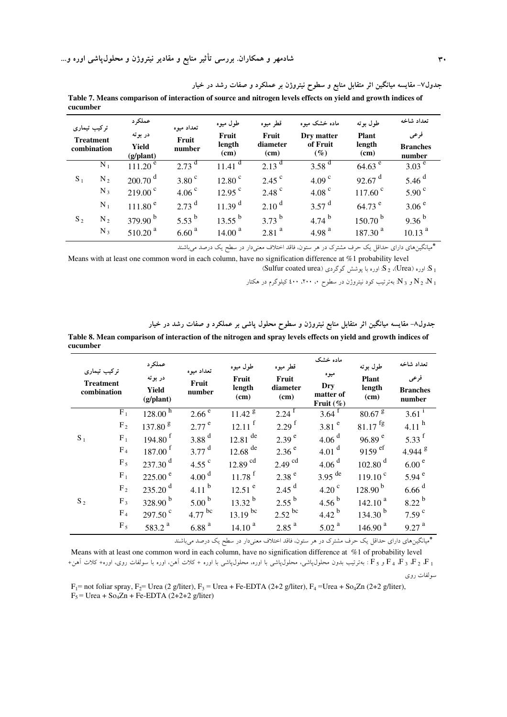شادمهر و همکاران. بررسی تأثیر منابع و مقادیر نیتروژن و محلول $\downarrow$ شی اوره و…

Table 7. Means comparison of interaction of source and nitrogen levels effects on yield and growth indices of cucumber .<br>موران ۱۹۱۹  $\overline{a}$ 

|       | ترکیب تیماری<br><b>Treatment</b><br>combination | عمدتر د<br>در بوته<br>Yield<br>(g/plant) | تعداد ميوه<br>Fruit<br>number | طول ميوه<br>Fruit<br>length<br>(cm) | قطر ميوه<br>Fruit<br>diameter<br>(cm) | ماده خشک مىوه<br>Dry matter<br>of Fruit<br>$(\%)$ | طول بو ته<br><b>Plant</b><br>length<br>(cm) | تعداد ساحه<br>فرعى<br><b>Branches</b><br>number |
|-------|-------------------------------------------------|------------------------------------------|-------------------------------|-------------------------------------|---------------------------------------|---------------------------------------------------|---------------------------------------------|-------------------------------------------------|
|       | $N_1$                                           | $111.20^{\circ}$                         | 2.73                          | $11.41$ <sup>d</sup>                | 2.13 <sup>d</sup>                     | 3.58 $^{d}$                                       | $64.63$ <sup>e</sup>                        | 3.03 <sup>e</sup>                               |
| $S_1$ | $N_2$                                           | $200.70$ <sup>d</sup>                    | 3.80 <sup>c</sup>             | 12.80 <sup>c</sup>                  | $2.45$ <sup>c</sup>                   | 4.09 $^{\circ}$                                   | 92.67 $^{\rm d}$                            | 5.46 $^{d}$                                     |
|       | $N_3$                                           | $219.00^{\circ}$                         | 4.06 $^{\circ}$               | $12.95$ <sup>c</sup>                | $2.48$ <sup>c</sup>                   | 4.08 $^{\circ}$                                   | $117.60$ <sup>c</sup>                       | 5.90 <sup>c</sup>                               |
|       | $N_1$                                           | 111.80 <sup>e</sup>                      | $2.73$ <sup>d</sup>           | 11.39 <sup>d</sup>                  | 2.10 <sup>d</sup>                     | $3.57$ <sup>d</sup>                               | $64.73$ <sup>e</sup>                        | 3.06 <sup>e</sup>                               |
| $S_2$ | $N_2$                                           | 379.90 $^{\rm b}$                        | 5.53 $^{b}$                   | $13.55^{b}$                         | $3.73^{b}$                            | 4.74 $^{b}$                                       | $150.70^{b}$                                | $9.36^{b}$                                      |
|       | $N_3$                                           | $510.20$ <sup>a</sup>                    | 6.60 <sup>a</sup>             | 14.00 <sup>a</sup>                  | $2.81$ <sup>a</sup>                   | 4.98 $^{a}$                                       | $187.30^{a}$                                | 10.13 <sup>a</sup>                              |

\*میانگینهای دارای حداقل یک حرف مشترک در هر ستون، فاقد اختلاف معنیدار در سطح یک درصد می.اشند

جدول۷– مقایسه میانگین اثر متقابل منابع و سطوح نیتروژن بر عملکرد و صفات رشد در خیار

Means with at least one common word in each column, have no signification difference at %1 probability level (Sulfur coated urea) و S اوره با یوشش گوگردی (Sulfur coated urea)

و N  $_{3}$  بهترتیب کود نیتروژن در سطوح ۰، ۲۰۰، ٤٠٠ کیلوگرم در هکتار R و  $\rm N_{2}$  بهترتیب کود نیتروژن در سطوح ۰، ۲۰۰

جدول٨- مقایسه میانگین اثر متقابل منابع نیتروژن و سطوح محلول پاشی بر عملکرد و صفات رشد در خیار

Table 8. Mean comparison of interaction of the nitrogen and spray levels effects on yield and growth indices of cucumber

| ترکیب تیماری<br><b>Treatment</b><br>combination |                | عملكرد<br>در بوته<br>Yield<br>(g/plant) | تعداد ميوه<br>Fruit<br>number | طول ميوه<br>Fruit<br>length<br>(cm) | قطر ميوه<br>Fruit<br>diameter<br>(cm) | ماده خشک<br>ميوه<br>Dry<br>matter of<br>Fruit $(\%)$ | طول بوته<br><b>Plant</b><br>length<br>(cm) | تعداد شاخه<br>فرعى<br><b>Branches</b><br>number |
|-------------------------------------------------|----------------|-----------------------------------------|-------------------------------|-------------------------------------|---------------------------------------|------------------------------------------------------|--------------------------------------------|-------------------------------------------------|
|                                                 | $F_1$          | 128.00 <sup>h</sup>                     | 2.66 <sup>e</sup>             | 11.42 <sup>g</sup>                  | $2.24$ <sup>f</sup>                   | $3.64$ <sup>t</sup>                                  | $80.67$ $\rm{g}$                           | $3.61^{1}$                                      |
|                                                 | F <sub>2</sub> | 137.80 <sup>g</sup>                     | $2.77$ <sup>e</sup>           | $12.11$ <sup>f</sup>                | $2.29$ <sup>f</sup>                   | 3.81 $^{\circ}$                                      | $81.17$ <sup>fg</sup>                      | 4.11 $^{\rm h}$                                 |
| $S_1$                                           | $F_1$          | 194.80 $^{\rm f}$                       | 3.88 $d$                      | $12.81$ <sup>de</sup>               | 2.39 <sup>e</sup>                     | 4.06 <sup>d</sup>                                    | 96.89 $^{\circ}$                           | 5.33 $^{\rm f}$                                 |
|                                                 | F <sub>4</sub> | 187.00 <sup>f</sup>                     | $3.77$ <sup>d</sup>           | 12.68 $de$                          | 2.36 <sup>e</sup>                     | 4.01 $^{d}$                                          | 9159 $\rm^{ef}$                            | 4.944 $8$                                       |
|                                                 | $F_5$          | 237.30 <sup>d</sup>                     | 4.55 $\degree$                | $12.89$ <sup>cd</sup>               | $2.49$ <sup>cd</sup>                  | 4.06 <sup>d</sup>                                    | $102.80$ <sup>d</sup>                      | 6.00 <sup>e</sup>                               |
|                                                 | $F_1$          | $225.00^{\circ}$                        | 4.00 <sup>d</sup>             | $11.78$ <sup>f</sup>                | 2.38 <sup>e</sup>                     | $3.95$ <sup>de</sup>                                 | 119.10 <sup>c</sup>                        | 5.94 $^{\circ}$                                 |
|                                                 | F <sub>2</sub> | $235.20$ <sup>d</sup>                   | 4.11 $^{b}$                   | $12.51$ <sup>e</sup>                | $2.45$ <sup>d</sup>                   | 4.20 $^{\circ}$                                      | $128.90^{b}$                               | $6.66$ <sup>d</sup>                             |
| $S_2$                                           | $F_3$          | $328.90^{b}$                            | 5.00 $^{\rm b}$               | $13.32^{b}$                         | $2.55^{b}$                            | 4.56 $^{b}$                                          | 142.10 <sup>a</sup>                        | $8.22^{b}$                                      |
|                                                 | F <sub>4</sub> | $297.50$ <sup>c</sup>                   | $4.77$ bc                     | 13.19 bc                            | $2.52$ <sup>bc</sup>                  | 4.42 $^{\rm b}$                                      | 134.30 $^{\rm b}$                          | 7.59 $^{\circ}$                                 |
|                                                 | $F_5$          | 583.2 $^{a}$                            | 6.88 <sup>a</sup>             | 14.10 <sup>a</sup>                  | 2.85 <sup>a</sup>                     | 5.02 <sup>a</sup>                                    | 146.90 <sup>a</sup>                        | 9.27 <sup>a</sup>                               |

\*میانگینهای دارای حداقل یک حرف مشترک در هر ستون، فاقد اختلاف معنیدار در سطح یک درصد میباشند

Means with at least one common word in each column, have no signification difference at %1 of probability level . F ، ، F ، ، F و F ، بهترتیب بدون محلول،پاشی، محلول،پاشی با اوره، محلول،پاشی با اوره + کلات اَهن، اوره با سولفات روی، اوره+ کلات اَهن+ سولفات روى

 $F_1$ = not foliar spray,  $F_2$ = Urea (2 g/liter),  $F_3$  = Urea + Fe-EDTA (2+2 g/liter),  $F_4$  = Urea + So<sub>4</sub>Zn (2+2 g/liter),  $F_5$  = Urea + So<sub>4</sub>Zn + Fe-EDTA (2+2+2 g/liter)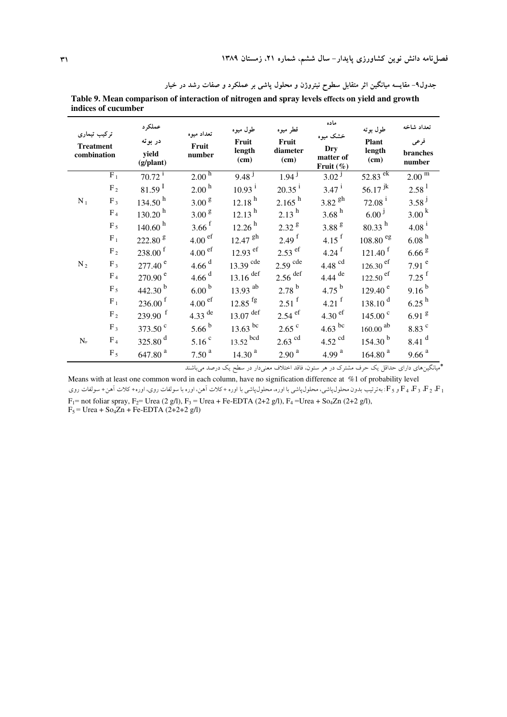| ترکیب تیماری<br><b>Treatment</b><br>combination |                | عملكرد<br>در بوته<br>yield<br>(g/plant) | تعداد ميوه<br>Fruit<br>number | طول ميوه<br>Fruit<br>length<br>(cm) | قطر میوه<br>Fruit<br>diameter<br>(cm) | ماده<br>خشک میوه<br>Dry<br>matter of<br>Fruit $(\%)$ | طول بوته<br><b>Plant</b><br>length<br>(cm) | تعداد شاخه<br>فرعى<br>branches<br>number |
|-------------------------------------------------|----------------|-----------------------------------------|-------------------------------|-------------------------------------|---------------------------------------|------------------------------------------------------|--------------------------------------------|------------------------------------------|
|                                                 | $\rm F_1$      | $70.72$ <sup>i</sup>                    | $2.00^{\overline{h}}$         | 9.48 <sup>1</sup>                   | 1.94 <sup>1</sup>                     | 3.02 <sup>1</sup>                                    | $52.83 \overline{ek}$                      | $2.00^{\overline{m}}$                    |
|                                                 | $F_2$          | $81.59$ <sup>I</sup>                    | $2.00^{\,\rm h}$              | $10.93$ <sup>i</sup>                | $20.35^{i}$                           | $3.47^{i}$                                           | $56.17$ <sup>jk</sup>                      | $2.58^{1}$                               |
| $N_1$                                           | $F_3$          | 134.50 <sup>h</sup>                     | 3.00 <sup>g</sup>             | 12.18 <sup>h</sup>                  | $2.165$ <sup>h</sup>                  | $3.82$ <sup>gh</sup>                                 | $72.08^{\text{ i}}$                        | $3.58^{j}$                               |
|                                                 | $\mathrm{F}_4$ | 130.20 <sup>h</sup>                     | $3.00~^{\rm g}$               | 12.13 <sup>h</sup>                  | $2.13^{h}$                            | 3.68 <sup>h</sup>                                    | $6.00^{j}$                                 | 3.00 <sup>k</sup>                        |
|                                                 | $F_5$          | 140.60 <sup>h</sup>                     | $3.66$ <sup>f</sup>           | 12.26 <sup>h</sup>                  | 2.32 <sup>g</sup>                     | $3.88$ $^{\rm g}$                                    | $80.33^{h}$                                | $4.08^{i}$                               |
|                                                 | $F_1$          | 222.80 <sup>g</sup>                     | $4.00$ ef                     | $12.47$ <sup>gh</sup>               | 2.49 <sup>f</sup>                     | 4.15 $^{\rm f}$                                      | $108.80$ $^{\rm eg}$                       | 6.08hh                                   |
|                                                 | $F_2$          | $238.00$ <sup>f</sup>                   | $4.00$ ef                     | $12.93$ <sup>ef</sup>               | $2.53$ <sup>ef</sup>                  | 4.24 $f$                                             | $121.40$ <sup>f</sup>                      | $6.66$ $^{\rm g}$                        |
| $N_2$                                           | $F_3$          | 277.40 <sup>e</sup>                     | 4.66 $d$                      | $13.39$ <sup>cde</sup>              | $2.59$ <sup>cde</sup>                 | $4.48\;^{\rm cd}$                                    | $126.30$ <sup>ef</sup>                     | $7.91$ <sup>e</sup>                      |
|                                                 | F <sub>4</sub> | $270.90$ <sup>e</sup>                   | $4.66$ <sup>d</sup>           | $13.16$ def                         | $2.56$ $^{\rm def}$                   | $4.44$ <sup>de</sup>                                 | $122.50$ <sup>ef</sup>                     | $7.25$ <sup>f</sup>                      |
|                                                 | $\mathrm{F}_5$ | 442.30 $^{b}$                           | $6.00\,^{\rm b}$              | $13.93$ <sup>ab</sup>               | $2.78^{b}$                            | 4.75 $^{\rm b}$                                      | 129.40 <sup>e</sup>                        | $9.16^{b}$                               |
|                                                 | $\rm F_1$      | $236.00$ <sup>f</sup>                   | 4.00 <sup>ef</sup>            | $12.85$ <sup>fg</sup>               | $2.51$ <sup>f</sup>                   | 4.21 $^{\rm f}$                                      | 138.10 <sup>d</sup>                        | $6.25$ <sup>h</sup>                      |
|                                                 | $F_2$          | $239.90$ <sup>f</sup>                   | $4.33$ <sup>de</sup>          | $13.07$ $^{\rm def}$                | $2.54$ ef                             | $4.30$ ef                                            | $145.00$ <sup>c</sup>                      | $6.91$ <sup>g</sup>                      |
|                                                 | $F_3$          | 373.50 <sup>c</sup>                     | $5.66^{b}$                    | 13.63 $^{bc}$                       | $2.65$ $\degree$                      | $4.63$ bc                                            | $160.00\; ^{ab}$                           | 8.83 c                                   |
| $N_r$                                           | F <sub>4</sub> | 325.80 $^{d}$                           | 5.16 <sup>c</sup>             | $13.52$ bcd                         | $2.63$ <sup>cd</sup>                  | $4.52$ <sup>cd</sup>                                 | 154.30 <sup>b</sup>                        | $8.41$ <sup>d</sup>                      |
|                                                 | $F_5$          | $647.80$ $^{\rm a}$                     | $7.50$ $^{\rm a}$             | 14.30 <sup>a</sup>                  | $2.90$ $^{\rm a}$                     | 4.99 $a$                                             | $164.80$ $^{\rm a}$                        | $9.66$ $^{\rm a}$                        |

جدول۹– مقایسه میانگین اثر متقابل سطوح نیتروژن و محلول پاشی بر عملکرد و صفات رشد در خیار Table 9. Mean comparison of interaction of nitrogen and spray levels effects on yield and growth indices of cucumber

\*<br>\*مانگینهای دارای حداقل یک حرف مشترک در هر ستون، فاقد اختلاف معنیدار در سطح یک درصد میباشند

Means with at least one common word in each column, have no signification difference at %1 of probability level و F 4 ، F و د F : بهترتیب بدون محلول پاشی، محلول پاشی با اوره، محلول پاشی با اوره + کلات آهن، اوره با سولفات روی، اوره+ کلات آهن+ سولفات روی  $F_1$  = not foliar spray,  $F_2$  = Urea (2 g/l),  $F_3$  = Urea + Fe-EDTA (2+2 g/l),  $F_4$  = Urea + So<sub>4</sub>Zn (2+2 g/l),

 $F_5$  = Urea + So<sub>4</sub>Zn + Fe-EDTA (2+2+2 g/l)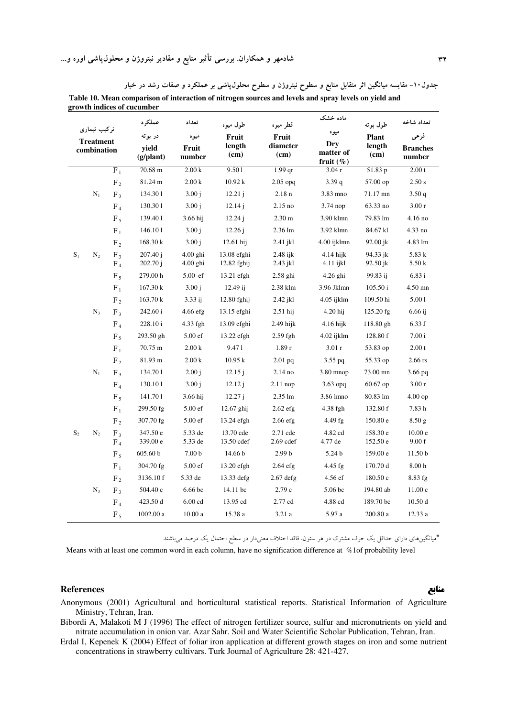|                |                                 |                | growth indices of cucumber |                          |                              |                        |                          |                      |                    |
|----------------|---------------------------------|----------------|----------------------------|--------------------------|------------------------------|------------------------|--------------------------|----------------------|--------------------|
|                |                                 |                | عملکہ د                    | تعداد                    | طول ميوه                     | قطر میوه               | ماده خشک                 | طول بوته             | تعداد شاخه         |
|                | تركيب تيماري                    |                | در بوته                    | ميوه                     | Fruit                        | Fruit                  | ميوه                     | <b>Plant</b>         | فرعى               |
|                | <b>Treatment</b><br>combination |                | vield                      | Fruit                    | length                       | diameter               | <b>Dry</b><br>matter of  | length<br>(cm)       | <b>Branches</b>    |
|                |                                 |                | $(g/\text{plant})$         | number                   | (cm)                         | (cm)                   | fruit $(\% )$            |                      | number             |
|                |                                 | $F_1$          | 70.68 m                    | 2.00 k                   | 9.501                        | $1.99$ qr              | 3.04r                    | 51.83 p              | 2.00 t             |
|                |                                 | F <sub>2</sub> | 81.24 m                    | 2.00 k                   | 10.92 k                      | $2.05$ opq             | 3.39q                    | 57.00 op             | 2.50 s             |
|                | $N_1$                           | $F_3$          | 134.301                    | 3.00 i                   | 12.21j                       | 2.18n                  | 3.83 mno                 | 71.17 mn             | 3.50q              |
|                |                                 | F <sub>4</sub> | 130.301                    | 3.00j                    | 12.14j                       | 2.15 no                | 3.74 nop                 | 63.33 no             | 3.00r              |
|                |                                 | $F_5$          | 139.401                    | 3.66 hij                 | 12.24j                       | 2.30 <sub>m</sub>      | 3.90 klmn                | 79.83 lm             | 4.16 no            |
|                |                                 | $F_1$          | 146.101                    | 3.00 i                   | 12.26 i                      | 2.36 lm                | 3.92 klmn                | 84.67 kl             | 4.33 no            |
|                |                                 | $F_2$          | 168.30 k                   | 3.00 i                   | $12.61$ hij                  | 2.41 jkl               | 4.00 ijklmn              | 92.00 jk             | 4.83 lm            |
| $S_1$          | $N_2$                           | $F_3$<br>$F_4$ | 207.40 j<br>202.70j        | $4.00$ ghi<br>$4.00$ ghi | 13.08 efghi<br>$12,82$ fghij | 2.48 ijk<br>$2.43$ jkl | $4.14$ hijk<br>4.11 ijkl | 94.33 jk<br>92.50 jk | 5.83 k<br>5.50k    |
|                |                                 | $F_5$          | 279.00 h                   | 5.00 ef                  | $13.21$ efgh                 | $2.58$ ghi             | 4.26 ghi                 | 99.83 ij             | 6.83 i             |
|                |                                 | $F_1$          | 167.30 k                   | 3.00j                    | 12.49 ij                     | 2.38 klm               | 3.96 Jklmn               | 105.50 i             | 4.50 mn            |
|                |                                 | F <sub>2</sub> | 163.70 k                   | 3.33 i                   | 12.80 fghij                  | $2.42$ jkl             | 4.05 ijklm               | 109.50 hi            | $5.00\,1$          |
|                | $N_3$                           | $F_3$          | 242.60 i                   | $4.66$ efg               | $13.15$ efghi                | $2.51$ hij             | $4.20$ hij               | $125.20$ fg          | $6.66$ ij          |
|                |                                 | F <sub>4</sub> | 228.10 i                   | 4.33 fgh                 | 13.09 efghi                  | $2.49$ hijk            | 4.16 hijk                | 118.80 gh            | 6.33 J             |
|                |                                 | $F_5$          | 293.50 gh                  | 5.00 ef                  | 13.22 efgh                   | 2.59 fgh               | 4.02 ijklm               | 128.80 f             | 7.00i              |
|                |                                 | $F_1$          | 70.75 m                    | 2.00 k                   | 9.471                        | 1.89r                  | 3.01r                    | 53.83 op             | 2.00 t             |
|                |                                 | F <sub>2</sub> | 81.93 m                    | 2.00 k                   | $10.95~\mathrm{k}$           | $2.01$ pq              | $3.55$ pq                | 55.33 op             | $2.66$ rs          |
|                | $N_1$                           | $F_3$          | 134.701                    | 2.00 i                   | 12.15j                       | 2.14 no                | $3.80$ mnop              | 73.00 mn             | $3.66$ pq          |
|                |                                 | F <sub>4</sub> | 130.101                    | 3.00j                    | 12.12 i                      | $2.11$ nop             | $3.63$ opq               | $60.67$ op           | 3.00r              |
|                |                                 | $F_5$          | 141.701                    | 3.66 hij                 | 12.27 i                      | 2.35 lm                | 3.86 lmno                | 80.83 lm             | $4.00$ op          |
|                |                                 | $F_1$          | 299.50 fg                  | $5.00 \text{ ef}$        | $12.67$ ghij                 | $2.62$ efg             | 4.38 fgh                 | 132.80 f             | 7.83h              |
|                |                                 | F <sub>2</sub> | 307.70 fg                  | 5.00 ef                  | $13.24$ efgh                 | 2.66 efg               | 4.49 fg                  | 150.80 e             | 8.50 <sub>g</sub>  |
| S <sub>2</sub> | $N_2$                           | $F_3$          | 347.50 e                   | 5.33 de                  | 13.70 cde                    | 2.71 cde               | 4.82 cd                  | 158.30 e             | 10.00 e            |
|                |                                 | $F_4$          | 339.00 e                   | 5.33 de                  | 13.50 cdef                   | $2.69$ cdef            | 4.77 de                  | 152.50 e             | 9.00 f             |
|                |                                 | $F_5$          | 605.60 b                   | 7.00 <sub>b</sub>        | 14.66 b                      | 2.99 <sub>b</sub>      | 5.24 <sub>b</sub>        | 159.00 e             | 11.50 <sub>b</sub> |
|                |                                 | $F_1$          | 304.70 fg                  | 5.00 ef                  | $13.20$ efgh                 | $2.64$ efg             | 4.45 fg                  | 170.70 d             | 8.00 <sub>h</sub>  |
|                |                                 | F <sub>2</sub> | 3136.10 f                  | 5.33 de                  | 13.33 defg                   | $2.67$ defg            | 4.56 ef                  | 180.50 c             | 8.83 fg            |
|                | $N_3$                           | $F_3$          | 504.40 c                   | 6.66 bc                  | 14.11 bc                     | 2.79c                  | 5.06 bc                  | 194.80 ab            | 11.00c             |
|                |                                 | F <sub>4</sub> | 423.50 d                   | $6.00$ cd                | 13.95 cd                     | 2.77 cd                | 4.88 cd                  | 189.70 bc            | 10.50d             |
|                |                                 | F <sub>5</sub> | 1002.00 a                  | 10.00a                   | 15.38 a                      | 3.21 a                 | 5.97 a                   | 200.80 a             | 12.33 a            |

| جدول۱۰– مقایسه میانگین اثر متقابل منابع و سطوح نیتروژن و سطوح محلولپاشی بر عملکرد و صفات رشد در خیار  |  |
|-------------------------------------------------------------------------------------------------------|--|
| Table 10. Mean comparison of interaction of nitrogen sources and levels and spray levels on yield and |  |

\*میانگینهای دارای حداقل یک حرف مشترک در هر ستون، فاقد اختلاف معنیدار در سطح احتمال یک درصد میباشند

Means with at least one common word in each column, have no signification difference at %1of probability level

#### **References**

Anonymous (2001) Agricultural and horticultural statistical reports. Statistical Information of Agriculture Ministry, Tehran, Iran.

Bibordi A, Malakoti M J (1996) The effect of nitrogen fertilizer source, sulfur and micronutrients on yield and nitrate accumulation in onion var. Azar Sahr. Soil and Water Scientific Scholar Publication, Tehran, Iran.

Erdal I, Kepenek K (2004) Effect of foliar iron application at different growth stages on iron and some nutrient concentrations in strawberry cultivars. Turk Journal of Agriculture 28: 421-427.

#### منابع